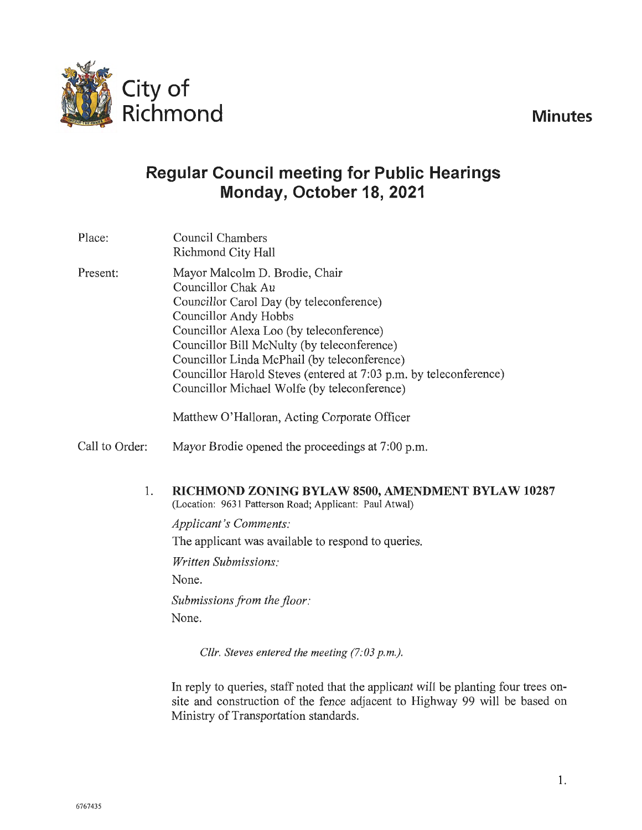**Minutes** 



# **Regular Council meeting for Public Hearings Monday, October 18, 2021**

| Place:   | Council Chambers<br>Richmond City Hall                                                                                                                                                                                                                                                                                                                                                    |
|----------|-------------------------------------------------------------------------------------------------------------------------------------------------------------------------------------------------------------------------------------------------------------------------------------------------------------------------------------------------------------------------------------------|
| Present: | Mayor Malcolm D. Brodie, Chair<br>Councillor Chak Au<br>Councillor Carol Day (by teleconference)<br>Councillor Andy Hobbs<br>Councillor Alexa Loo (by teleconference)<br>Councillor Bill McNulty (by teleconference)<br>Councillor Linda McPhail (by teleconference)<br>Councillor Harold Steves (entered at 7:03 p.m. by teleconference)<br>Councillor Michael Wolfe (by teleconference) |
|          | Matthew O'Halloran, Acting Corporate Officer                                                                                                                                                                                                                                                                                                                                              |

- Call to Order: Mayor Brodie opened the proceedings at 7:00 p.m.
	- 1. **RICHMOND ZONING BYLAW 8500, AMENDMENT BYLAW 10287**  (Location: 9631 Patterson Road; Applicant: Paul Atwal)

*Applicant's Comments:*  The applicant was available to respond to queries.

*Written Submissions:* 

None.

*Submissions from the floor:*  None.

*Cllr. Steves entered the meeting (7:03 p.m.).* 

In reply to queries, staff noted that the applicant will be planting four trees onsite and construction of the fence adjacent to Highway 99 will be based on Ministry of Transportation standards.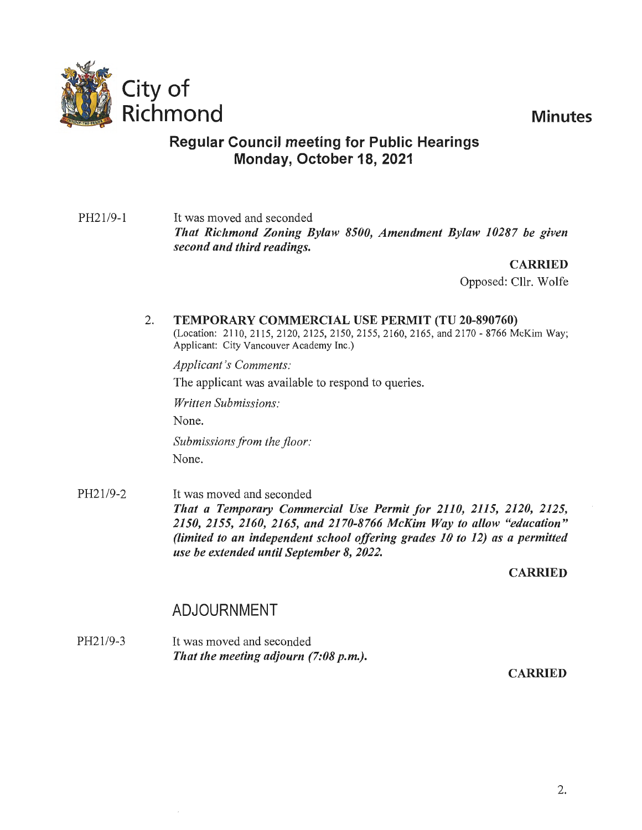

## **Regular Council meeting for Public Hearings Monday, October 18, 2021**

PH21/9-1 It was moved and seconded *That Richmond Zoning Bylaw 8500, Amendment Bylaw 10287 be given second and third readings.* 

**CARRIED** 

Opposed: Cllr. Wolfe

#### 2. **TEMPORARY COMMERCIAL USE PERMIT (TU 20-890760)**

(Location: 2110, 2115, 2120, 2125, 2150, 2155, 2160, 2165, and 2170 - 8766 McKim Way; Applicant: City Vancouver Academy Inc.)

*Applicant's Comments:* 

The applicant was available to respond to queries.

*Written Submissions:* 

None.

*Submissions from the floor:*  None.

PH21/9-2 It was moved and seconded *That a Temporary Commercial Use Permit for 2110, 2115, 2120, 2125, 2150, 2155, 2160, 2165, and 2170-8766 McKim Way to allow "education" (limited to an independent school offering grades 10 to 12) as a permitted use be extended until September 8, 2022.* 

**CARRIED** 

# ADJOURNMENT

PH21/9-3 It was moved and seconded *That the meeting adjourn (7:08 p.m.).* 

CARRIED